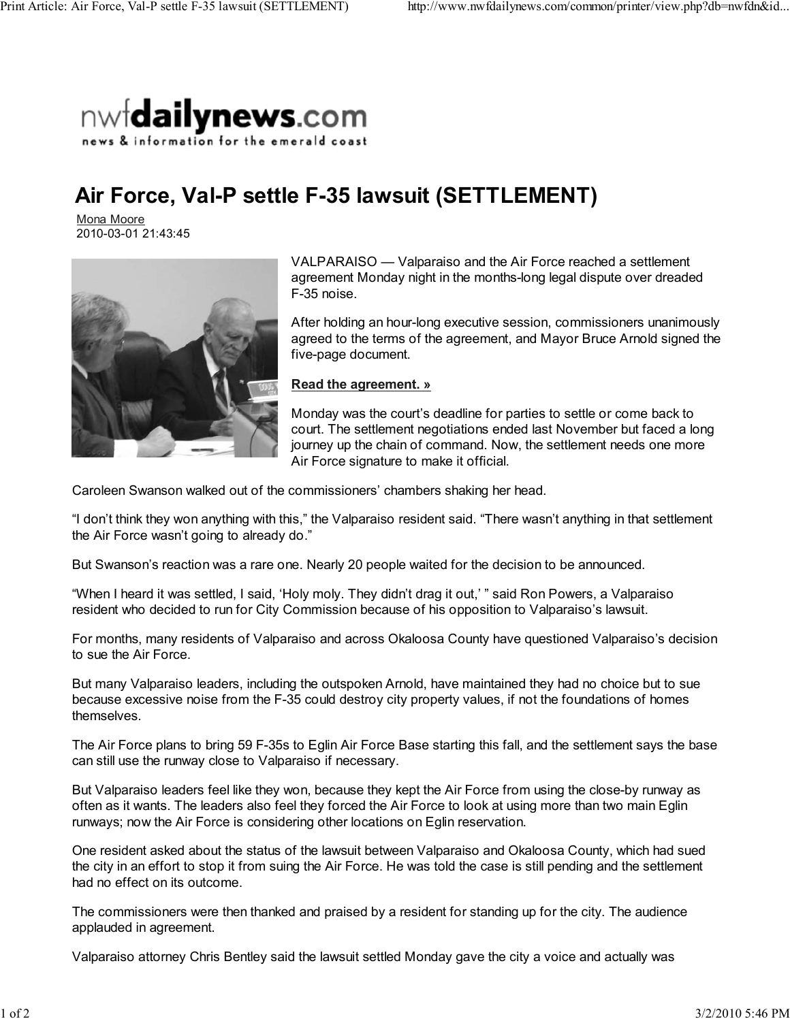

## **Air Force, Val-P settle F-35 lawsuit (SETTLEMENT)**

Mona Moore 2010-03-01 21:43:45



VALPARAISO — Valparaiso and the Air Force reached a settlement agreement Monday night in the months-long legal dispute over dreaded F-35 noise.

After holding an hour-long executive session, commissioners unanimously agreed to the terms of the agreement, and Mayor Bruce Arnold signed the five-page document.

**Read the agreement. »**

Monday was the court's deadline for parties to settle or come back to court. The settlement negotiations ended last November but faced a long journey up the chain of command. Now, the settlement needs one more Air Force signature to make it official.

Caroleen Swanson walked out of the commissioners' chambers shaking her head.

"I don't think they won anything with this," the Valparaiso resident said. "There wasn't anything in that settlement the Air Force wasn't going to already do."

But Swanson's reaction was a rare one. Nearly 20 people waited for the decision to be announced.

"When I heard it was settled, I said, 'Holy moly. They didn't drag it out,' " said Ron Powers, a Valparaiso resident who decided to run for City Commission because of his opposition to Valparaiso's lawsuit.

For months, many residents of Valparaiso and across Okaloosa County have questioned Valparaiso's decision to sue the Air Force.

But many Valparaiso leaders, including the outspoken Arnold, have maintained they had no choice but to sue because excessive noise from the F-35 could destroy city property values, if not the foundations of homes themselves.

The Air Force plans to bring 59 F-35s to Eglin Air Force Base starting this fall, and the settlement says the base can still use the runway close to Valparaiso if necessary.

But Valparaiso leaders feel like they won, because they kept the Air Force from using the close-by runway as often as it wants. The leaders also feel they forced the Air Force to look at using more than two main Eglin runways; now the Air Force is considering other locations on Eglin reservation.

One resident asked about the status of the lawsuit between Valparaiso and Okaloosa County, which had sued the city in an effort to stop it from suing the Air Force. He was told the case is still pending and the settlement had no effect on its outcome.

The commissioners were then thanked and praised by a resident for standing up for the city. The audience applauded in agreement.

Valparaiso attorney Chris Bentley said the lawsuit settled Monday gave the city a voice and actually was